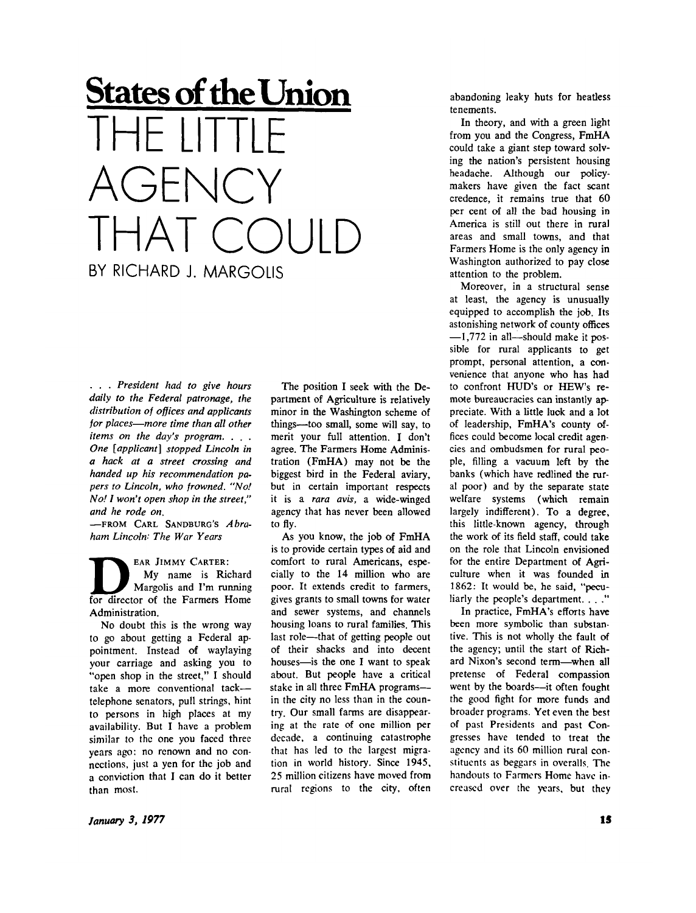## **States of theUnion**  THE LITTLE **AGENCY** THAT COULD BY RICHARD J. MARGOLIS

*. . . President had to give hours daily to the Federal patronage, the distribution of offices and applicants for places—more time than all other items on the day's program. . . . One [applicant] stopped Lincoln in a hack at a street crossing and handed up his recommendation papers to Lincoln, who frowned. "No! No! I won't open shop in the street," and he rode on.* 

 $-$ FROM CARL SANDBURG'S *Abraham Lincoln: The War Years* 

**EAR JIMMY CARTER:**  My name is Richard Margolis and I'm running for director of the Farmers Home Administration.

No doubt this is the wrong way to go about getting a Federal appointment. Instead of waylaying your carriage and asking you to "open shop in the street," I should take a more conventional tack telephone senators, pull strings, hint to persons in high places at my availability. But I have a problem similar to the one you faced three years ago: no renown and no connections, just a yen for the job and a conviction that I can do it better than most.

The position I seek with the Department of Agriculture is relatively minor in the Washington scheme of things—too small, some will say, to merit your full attention. I don't agree. The Farmers Home Administration (FmHA) may not be the biggest bird in the Federal aviary, but in certain important respects it is a *rara avis,* a wide-winged agency that has never been allowed to fly.

As you know, the job of FmHA is to provide certain types of aid and comfort to rural Americans, especially to the 14 million who are poor. It extends credit to farmers, gives grants to small towns for water and sewer systems, and channels housing loans to rural families. This last role—that of getting people out of their shacks and into decent houses—is the one I want to speak about. But people have a critical stake in all three FmHA programs in the city no less than in the country. Our small farms are disappearing at the rate of one million per decade, a continuing catastrophe that has led to the largest migration in world history. Since 1945, 25 million citizens have moved from rural regions to the city, often

abandoning leaky huts for heatless tenements.

In theory, and with a green light from you and the Congress, FmHA could take a giant step toward solving the nation's persistent housing headache. Although our policymakers have given the fact scant credence, it remains true that 60 per cent of all the bad housing in America is still out there in rural areas and small towns, and that Farmers Home is the only agency in Washington authorized to pay close attention to the problem.

Moreover, in a structural sense at least, the agency is unusually equipped to accomplish the job. Its astonishing network of county offices —1,772 in all—should make it possible for rural applicants to get prompt, personal attention, a convenience that anyone who has had to confront HUD's or HEW's remote bureaucracies can instantly appreciate. With a little luck and a lot of leadership, FmHA's county offices could become local credit agencies and ombudsmen for rural people, filling a vacuum left by the banks (which have redlined the rural poor) and by the separate state welfare systems (which remain largely indifferent). To a degree, this little-known agency, through the work of its field staff, could take on the role that Lincoln envisioned for the entire Department of Agriculture when it was founded in 1862: It would be, he said, "peculiarly the people's department. . . ."

In practice, FmHA's efforts have been more symbolic than substantive. This is not wholly the fault of the agency; until the start of Richard Nixon's second term—when all pretense of Federal compassion went by the boards—it often fought the good fight for more funds and broader programs. Yet even the best of past Presidents and past Congresses have tended to treat the agency and its 60 million rural constituents as beggars in overalls. The handouts to Farmers Home have increased over the years, but they